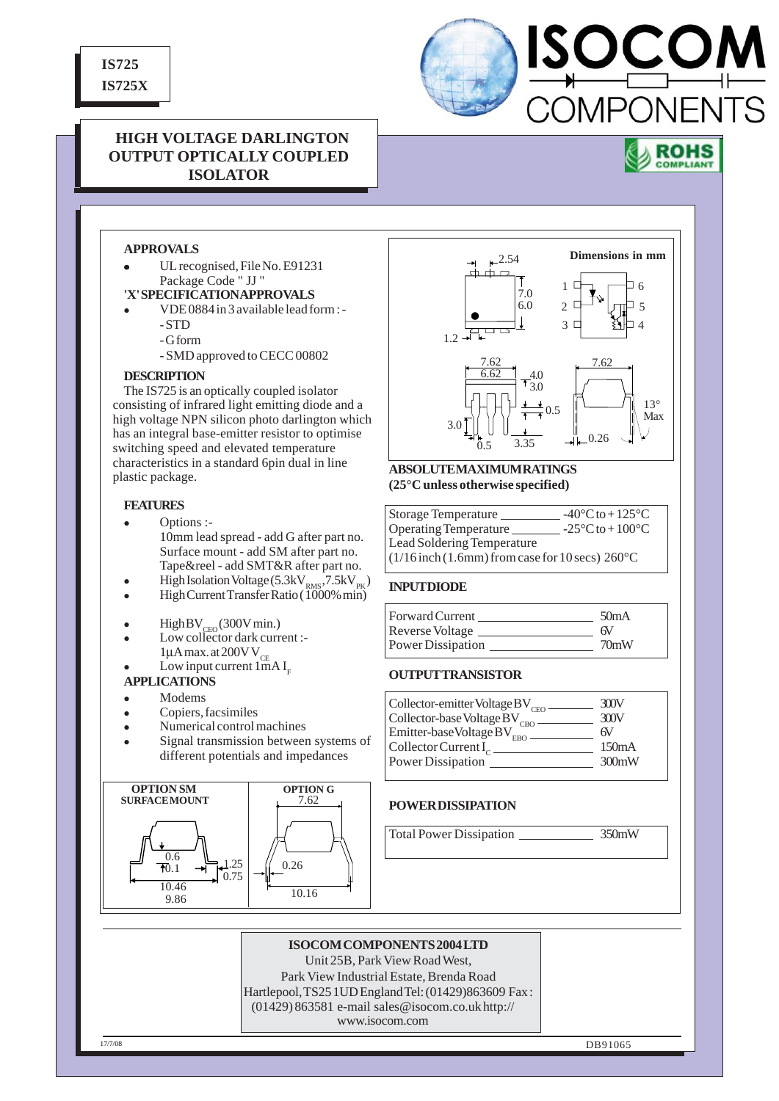**IS725 IS725X**



# **HIGH VOLTAGE DARLINGTON OUTPUT OPTICALLY COUPLED ISOLATOR**



# **APPROVALS**

UL recognised, File No. E91231 Package Code " JJ "

# **'X' SPECIFICATION APPROVALS**

- <sup>z</sup> VDE 0884 in 3 available lead form : - STD
	- G form
	- SMD approved to CECC 00802

### **DESCRIPTION**

The IS725 is an optically coupled isolator consisting of infrared light emitting diode and a high voltage NPN silicon photo darlington which has an integral base-emitter resistor to optimise switching speed and elevated temperature characteristics in a standard 6pin dual in line plastic package.

### **FEATURES**

- $\bullet$  Options :-10mm lead spread - add G after part no. Surface mount - add SM after part no. Tape&reel - add SMT&R after part no.
- $\bullet$  High Isolation Voltage (5.3kV<sub>RMS</sub>, 7.5kV<sub>PK</sub>) • High Current Transfer Ratio (1000% min)
- 
- $\bullet$  High BV<sub>CEO</sub> (300V min.)
- Low collector dark current :- $1\mu A$  max. at 200 V V<sub>CE</sub> Low input current  $1mAI<sub>r</sub>$

#### **APPLICATIONS**

- Modems
- Copiers, facsimiles
- Numerical control machines
- Signal transmission between systems of different potentials and impedances





### **ABSOLUTE MAXIMUM RATINGS (25°C unless otherwise specified)**

| Storage Temperature                                            | $-40^{\circ}$ C to $+125^{\circ}$ C |
|----------------------------------------------------------------|-------------------------------------|
| Operating Temperature                                          | $-25\degree$ C to $+100\degree$ C   |
| Lead Soldering Temperature                                     |                                     |
| $(1/16$ inch $(1.6$ mm) from case for 10 secs) $260^{\circ}$ C |                                     |

#### **INPUT DIODE**

| <b>Forward Current</b> | 50 <sub>m</sub> A |
|------------------------|-------------------|
| Reverse Voltage        | 6V                |
| Power Dissipation      | 70mW              |

## **OUTPUT TRANSISTOR**

| Collector-emitter Voltage BV <sub>CEO</sub>                                                                                                            | 300V<br>300V |
|--------------------------------------------------------------------------------------------------------------------------------------------------------|--------------|
| $\begin{minipage}{.4\linewidth} \textbf{Collector-base Voltage } BV_{\textbf{CBO}} \\ \textbf{Emitter-base Voltage } BV_{\textbf{EBO}} \end{minipage}$ | 6V           |
| Collector Current $I_c$                                                                                                                                | 150mA        |
| Power Dissipation                                                                                                                                      | 300mW        |

## **POWER DISSIPATION**

Total Power Dissipation 350mW

## **ISOCOM COMPONENTS 2004 LTD**

Unit 25B, Park View Road West,

Park View Industrial Estate, Brenda Road Hartlepool, TS25 1UD England Tel: (01429)863609 Fax : (01429) 863581 e-mail sales@isocom.co.uk http:// www.isocom.com

17/7/08 **DB91065**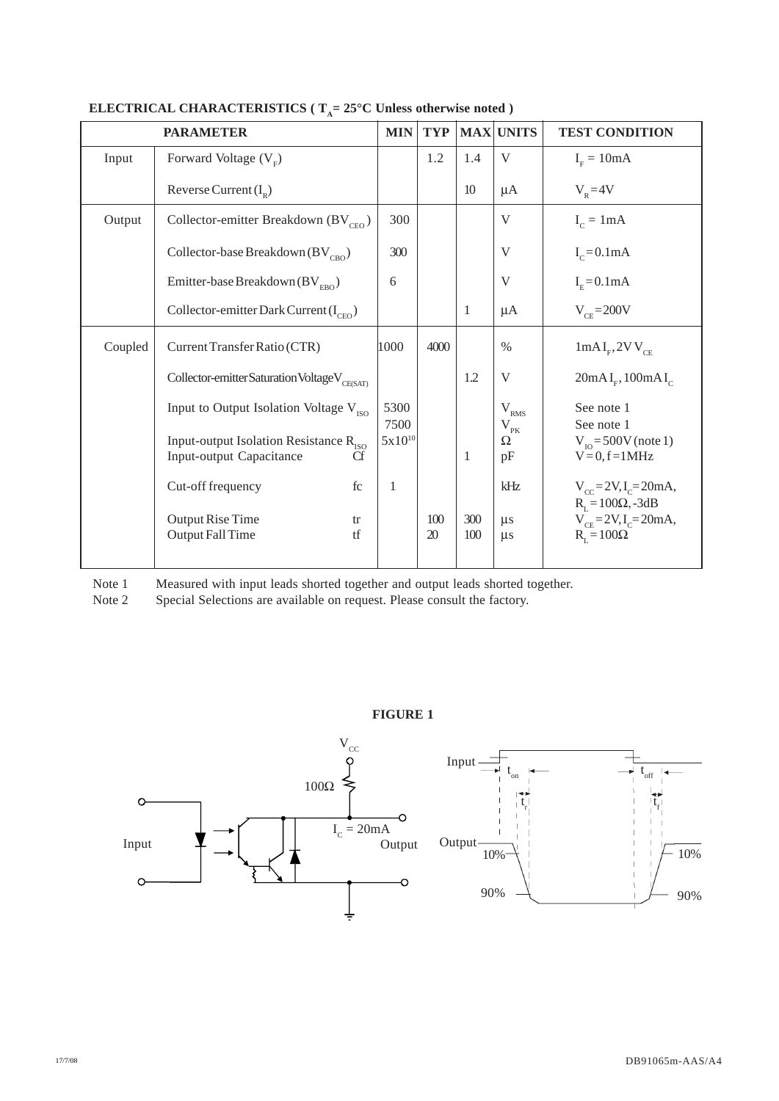|         | <b>PARAMETER</b>                                                                     | <b>MIN</b>          | <b>TYP</b> |            | MAX UNITS                   | <b>TEST CONDITION</b>                                                                        |
|---------|--------------------------------------------------------------------------------------|---------------------|------------|------------|-----------------------------|----------------------------------------------------------------------------------------------|
| Input   | Forward Voltage $(VF)$                                                               |                     | 1.2        | 1.4        | V                           | $IE = 10mA$                                                                                  |
|         | Reverse Current $(I_p)$                                                              |                     |            | 10         | $\mu A$                     | $V_{R} = 4V$                                                                                 |
| Output  | Collector-emitter Breakdown $(BV_{CFO})$                                             | 300                 |            |            | V                           | $I_c = 1mA$                                                                                  |
|         | Collector-base Breakdown ( $BV_{\text{CBO}}$ )                                       | 300                 |            |            | V                           | $I_c = 0.1 \text{mA}$                                                                        |
|         | Emitter-base Breakdown (BV $_{\text{EBO}}$ )                                         | 6                   |            |            | V                           | $IF=0.1mA$                                                                                   |
|         | Collector-emitter Dark Current $(I_{CFO})$                                           |                     |            | 1          | $\mu A$                     | $V_{CF} = 200V$                                                                              |
| Coupled | Current Transfer Ratio (CTR)                                                         | 1000                | 4000       |            | $\%$                        | $1mAI_{F}$ , $2VV_{CF}$                                                                      |
|         | Collector-emitter Saturation Voltage V <sub>CE(SAT)</sub>                            |                     |            | 1.2        | V                           | 20mAI <sub>F</sub> , 100mAI <sub>C</sub>                                                     |
|         | Input to Output Isolation Voltage V <sub>ISO</sub>                                   | 5300                |            |            | $\rm V_{\rm RMS}$           | See note 1                                                                                   |
|         | Input-output Isolation Resistance R <sub>ISO</sub><br>Input-output Capacitance<br>Cf | 7500<br>$5x10^{10}$ |            | 1          | $\rm V_{\rm pK}$<br>Ω<br>pF | See note 1<br>$V_{\text{no}} = 500V$ (note 1)<br>$V=0, f=1MHz$                               |
|         | Cut-off frequency<br>fc                                                              | 1                   |            |            | kHz                         | $V_{cc} = 2V, I_c = 20mA,$                                                                   |
|         | <b>Output Rise Time</b><br>tr<br>Output Fall Time<br>tf                              |                     | 100<br>20  | 300<br>100 | $\mu$ s<br>$\mu$ s          | $R_{\text{L}} = 100\Omega, -3dB$<br>$V_{CE} = 2V, I_C = 20mA,$<br>$R_{\text{r}} = 100\Omega$ |

# **ELECTRICAL CHARACTERISTICS** ( $T_A = 25^\circ$ C Unless otherwise noted )

Note 1 Measured with input leads shorted together and output leads shorted together.<br>Note 2 Special Selections are available on request. Please consult the factory.

Special Selections are available on request. Please consult the factory.

## **FIGURE 1**